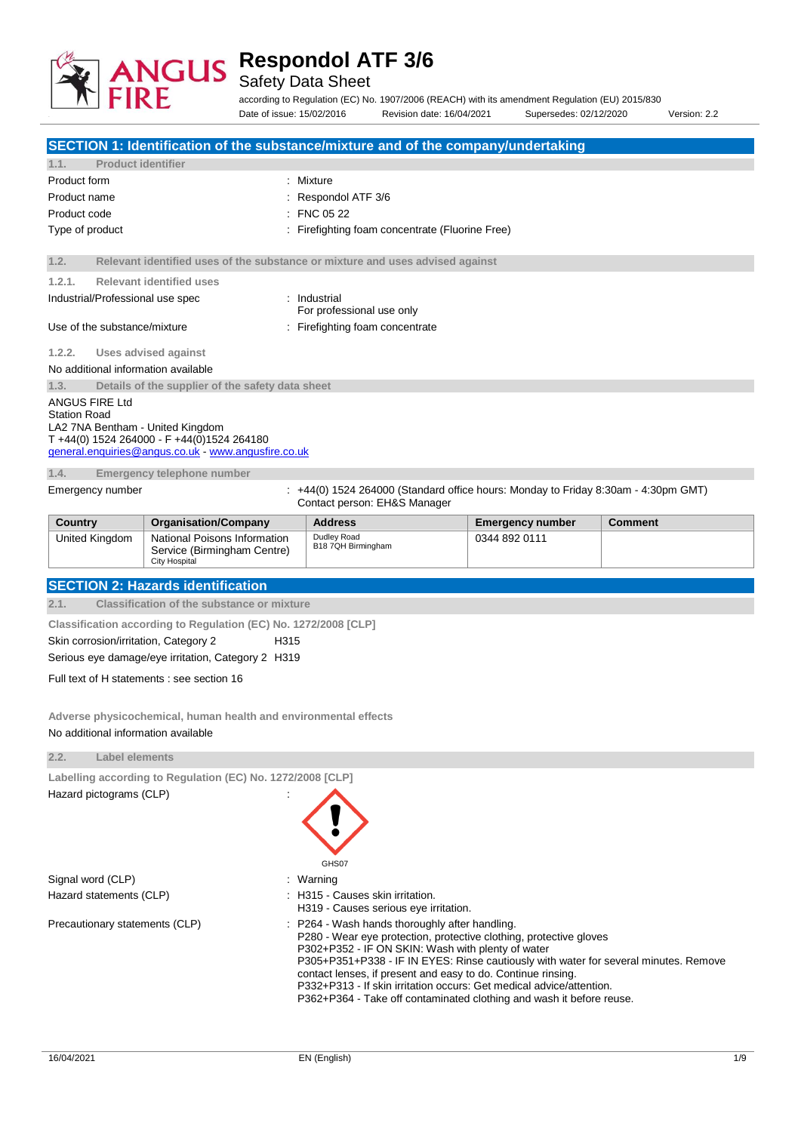

Safety Data Sheet

according to Regulation (EC) No. 1907/2006 (REACH) with its amendment Regulation (EU) 2015/830 Date of issue: 15/02/2016 Revision date: 16/04/2021 Supersedes: 02/12/2020 Version: 2.2

| SECTION 1: Identification of the substance/mixture and of the company/undertaking                                                                                                                                                                                                                                                                                                                                                                                                                                   |                                                                                                   |                                                                                                                  |                         |                |  |
|---------------------------------------------------------------------------------------------------------------------------------------------------------------------------------------------------------------------------------------------------------------------------------------------------------------------------------------------------------------------------------------------------------------------------------------------------------------------------------------------------------------------|---------------------------------------------------------------------------------------------------|------------------------------------------------------------------------------------------------------------------|-------------------------|----------------|--|
| <b>Product identifier</b><br>1.1.                                                                                                                                                                                                                                                                                                                                                                                                                                                                                   |                                                                                                   |                                                                                                                  |                         |                |  |
| Product form                                                                                                                                                                                                                                                                                                                                                                                                                                                                                                        |                                                                                                   | : Mixture                                                                                                        |                         |                |  |
| Product name                                                                                                                                                                                                                                                                                                                                                                                                                                                                                                        |                                                                                                   | Respondol ATF 3/6                                                                                                |                         |                |  |
| Product code                                                                                                                                                                                                                                                                                                                                                                                                                                                                                                        |                                                                                                   | FNC 05 22                                                                                                        |                         |                |  |
| Type of product                                                                                                                                                                                                                                                                                                                                                                                                                                                                                                     |                                                                                                   | Firefighting foam concentrate (Fluorine Free)                                                                    |                         |                |  |
| 1.2.                                                                                                                                                                                                                                                                                                                                                                                                                                                                                                                |                                                                                                   | Relevant identified uses of the substance or mixture and uses advised against                                    |                         |                |  |
| 1.2.1.                                                                                                                                                                                                                                                                                                                                                                                                                                                                                                              | <b>Relevant identified uses</b>                                                                   |                                                                                                                  |                         |                |  |
| Industrial/Professional use spec                                                                                                                                                                                                                                                                                                                                                                                                                                                                                    |                                                                                                   | : Industrial<br>For professional use only                                                                        |                         |                |  |
| Use of the substance/mixture                                                                                                                                                                                                                                                                                                                                                                                                                                                                                        |                                                                                                   | : Firefighting foam concentrate                                                                                  |                         |                |  |
| 1.2.2.                                                                                                                                                                                                                                                                                                                                                                                                                                                                                                              | <b>Uses advised against</b>                                                                       |                                                                                                                  |                         |                |  |
| No additional information available                                                                                                                                                                                                                                                                                                                                                                                                                                                                                 |                                                                                                   |                                                                                                                  |                         |                |  |
| 1.3.                                                                                                                                                                                                                                                                                                                                                                                                                                                                                                                | Details of the supplier of the safety data sheet                                                  |                                                                                                                  |                         |                |  |
| ANGUS FIRE Ltd<br><b>Station Road</b><br>LA2 7NA Bentham - United Kingdom                                                                                                                                                                                                                                                                                                                                                                                                                                           | T +44(0) 1524 264000 - F +44(0)1524 264180<br>general.enquiries@angus.co.uk - www.angusfire.co.uk |                                                                                                                  |                         |                |  |
| 1.4.                                                                                                                                                                                                                                                                                                                                                                                                                                                                                                                | Emergency telephone number                                                                        |                                                                                                                  |                         |                |  |
| Emergency number                                                                                                                                                                                                                                                                                                                                                                                                                                                                                                    |                                                                                                   | +44(0) 1524 264000 (Standard office hours: Monday to Friday 8:30am - 4:30pm GMT)<br>Contact person: EH&S Manager |                         |                |  |
| Country                                                                                                                                                                                                                                                                                                                                                                                                                                                                                                             | <b>Organisation/Company</b>                                                                       | <b>Address</b>                                                                                                   | <b>Emergency number</b> | <b>Comment</b> |  |
| United Kingdom                                                                                                                                                                                                                                                                                                                                                                                                                                                                                                      | National Poisons Information<br>Service (Birmingham Centre)<br><b>City Hospital</b>               | Dudley Road<br>B18 7QH Birmingham                                                                                | 0344 892 0111           |                |  |
|                                                                                                                                                                                                                                                                                                                                                                                                                                                                                                                     | <b>SECTION 2: Hazards identification</b>                                                          |                                                                                                                  |                         |                |  |
| 2.1.                                                                                                                                                                                                                                                                                                                                                                                                                                                                                                                | <b>Classification of the substance or mixture</b>                                                 |                                                                                                                  |                         |                |  |
|                                                                                                                                                                                                                                                                                                                                                                                                                                                                                                                     | Classification according to Regulation (EC) No. 1272/2008 [CLP]                                   |                                                                                                                  |                         |                |  |
| Skin corrosion/irritation, Category 2                                                                                                                                                                                                                                                                                                                                                                                                                                                                               | H315<br>Serious eye damage/eye irritation, Category 2 H319                                        |                                                                                                                  |                         |                |  |
|                                                                                                                                                                                                                                                                                                                                                                                                                                                                                                                     | Full text of H statements : see section 16                                                        |                                                                                                                  |                         |                |  |
| Adverse physicochemical, human health and environmental effects<br>No additional information available                                                                                                                                                                                                                                                                                                                                                                                                              |                                                                                                   |                                                                                                                  |                         |                |  |
| <b>Label elements</b>                                                                                                                                                                                                                                                                                                                                                                                                                                                                                               |                                                                                                   |                                                                                                                  |                         |                |  |
| 2.2.                                                                                                                                                                                                                                                                                                                                                                                                                                                                                                                |                                                                                                   |                                                                                                                  |                         |                |  |
| Labelling according to Regulation (EC) No. 1272/2008 [CLP]<br>Hazard pictograms (CLP)<br>GHS07                                                                                                                                                                                                                                                                                                                                                                                                                      |                                                                                                   |                                                                                                                  |                         |                |  |
| Signal word (CLP)                                                                                                                                                                                                                                                                                                                                                                                                                                                                                                   |                                                                                                   | : Warning                                                                                                        |                         |                |  |
| Hazard statements (CLP)                                                                                                                                                                                                                                                                                                                                                                                                                                                                                             |                                                                                                   | : H315 - Causes skin irritation.<br>H319 - Causes serious eye irritation.                                        |                         |                |  |
| : P264 - Wash hands thoroughly after handling.<br>Precautionary statements (CLP)<br>P280 - Wear eye protection, protective clothing, protective gloves<br>P302+P352 - IF ON SKIN: Wash with plenty of water<br>P305+P351+P338 - IF IN EYES: Rinse cautiously with water for several minutes. Remove<br>contact lenses, if present and easy to do. Continue rinsing.<br>P332+P313 - If skin irritation occurs: Get medical advice/attention.<br>P362+P364 - Take off contaminated clothing and wash it before reuse. |                                                                                                   |                                                                                                                  |                         |                |  |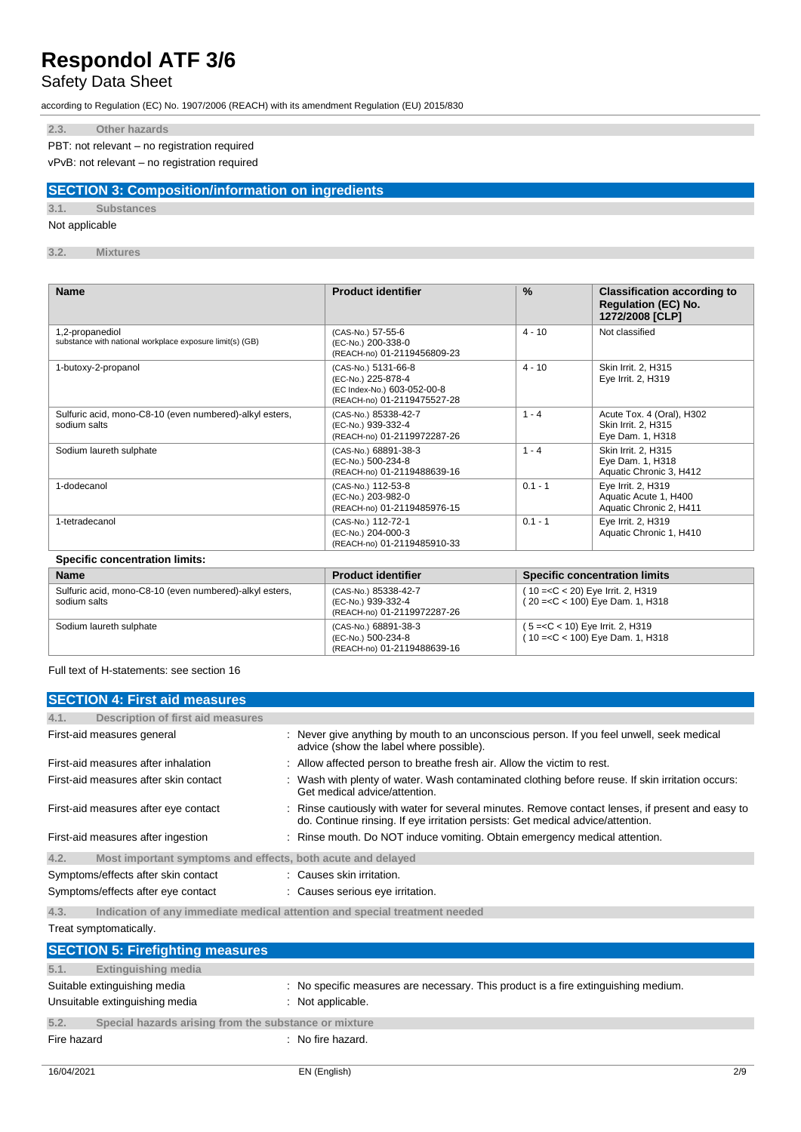# Safety Data Sheet

according to Regulation (EC) No. 1907/2006 (REACH) with its amendment Regulation (EU) 2015/830

### **2.3. Other hazards**

PBT: not relevant – no registration required

vPvB: not relevant – no registration required

### **SECTION 3: Composition/information on ingredients**

### **3.1. Substances**

### Not applicable

**3.2. Mixtures**

| <b>Name</b>                                                                 | <b>Product identifier</b>                                                                               | $\frac{9}{6}$ | <b>Classification according to</b><br><b>Regulation (EC) No.</b><br>1272/2008 [CLP] |
|-----------------------------------------------------------------------------|---------------------------------------------------------------------------------------------------------|---------------|-------------------------------------------------------------------------------------|
| 1,2-propanediol<br>substance with national workplace exposure limit(s) (GB) | (CAS-No.) 57-55-6<br>(EC-No.) 200-338-0<br>(REACH-no) 01-2119456809-23                                  | $4 - 10$      | Not classified                                                                      |
| 1-butoxy-2-propanol                                                         | (CAS-No.) 5131-66-8<br>(EC-No.) 225-878-4<br>(EC Index-No.) 603-052-00-8<br>(REACH-no) 01-2119475527-28 | $4 - 10$      | Skin Irrit. 2, H315<br>Eye Irrit. 2, H319                                           |
| Sulfuric acid, mono-C8-10 (even numbered)-alkyl esters,<br>sodium salts     | (CAS-No.) 85338-42-7<br>(EC-No.) 939-332-4<br>(REACH-no) 01-2119972287-26                               | $1 - 4$       | Acute Tox. 4 (Oral), H302<br>Skin Irrit. 2, H315<br>Eye Dam. 1, H318                |
| Sodium laureth sulphate                                                     | (CAS-No.) 68891-38-3<br>(EC-No.) 500-234-8<br>(REACH-no) 01-2119488639-16                               | $1 - 4$       | Skin Irrit. 2, H315<br>Eye Dam. 1, H318<br>Aquatic Chronic 3, H412                  |
| 1-dodecanol                                                                 | (CAS-No.) 112-53-8<br>(EC-No.) 203-982-0<br>(REACH-no) 01-2119485976-15                                 | $0.1 - 1$     | Eye Irrit. 2, H319<br>Aquatic Acute 1, H400<br>Aquatic Chronic 2, H411              |
| 1-tetradecanol                                                              | (CAS-No.) 112-72-1<br>(EC-No.) 204-000-3<br>(REACH-no) 01-2119485910-33                                 | $0.1 - 1$     | Eye Irrit. 2, H319<br>Aquatic Chronic 1, H410                                       |

### **Specific concentration limits:**

| <b>Name</b>                                                             | <b>Product identifier</b>                                                 | <b>Specific concentration limits</b>                                     |
|-------------------------------------------------------------------------|---------------------------------------------------------------------------|--------------------------------------------------------------------------|
| Sulfuric acid, mono-C8-10 (even numbered)-alkyl esters,<br>sodium salts | (CAS-No.) 85338-42-7<br>(EC-No.) 939-332-4<br>(REACH-no) 01-2119972287-26 | $(10=<$ C < 20) Eye Irrit. 2, H319<br>$(20 = C < 100)$ Eye Dam. 1, H318  |
| Sodium laureth sulphate                                                 | (CAS-No.) 68891-38-3<br>(EC-No.) 500-234-8<br>(REACH-no) 01-2119488639-16 | $(5 = C < 10)$ Eye Irrit. 2, H319<br>$(10 = < C < 100)$ Eye Dam. 1, H318 |

Full text of H-statements: see section 16

| <b>SECTION 4: First aid measures</b>                                                                                                                                                                                              |                                                                                                                                                                                   |
|-----------------------------------------------------------------------------------------------------------------------------------------------------------------------------------------------------------------------------------|-----------------------------------------------------------------------------------------------------------------------------------------------------------------------------------|
| Description of first aid measures<br>4.1.                                                                                                                                                                                         |                                                                                                                                                                                   |
| First-aid measures general                                                                                                                                                                                                        | : Never give anything by mouth to an unconscious person. If you feel unwell, seek medical<br>advice (show the label where possible).                                              |
| First-aid measures after inhalation                                                                                                                                                                                               | : Allow affected person to breathe fresh air. Allow the victim to rest.                                                                                                           |
| First-aid measures after skin contact                                                                                                                                                                                             | Wash with plenty of water. Wash contaminated clothing before reuse. If skin irritation occurs:<br>Get medical advice/attention.                                                   |
| First-aid measures after eye contact                                                                                                                                                                                              | Rinse cautiously with water for several minutes. Remove contact lenses, if present and easy to<br>do. Continue rinsing. If eye irritation persists: Get medical advice/attention. |
| First-aid measures after ingestion                                                                                                                                                                                                | : Rinse mouth. Do NOT induce vomiting. Obtain emergency medical attention.                                                                                                        |
| Most important symptoms and effects, both acute and delayed<br>4.2.                                                                                                                                                               |                                                                                                                                                                                   |
| Symptoms/effects after skin contact                                                                                                                                                                                               | : Causes skin irritation.                                                                                                                                                         |
| Symptoms/effects after eye contact                                                                                                                                                                                                | : Causes serious eye irritation.                                                                                                                                                  |
| $\mathcal{L}$ , and the set of the set of the set of the set of the set of the set of the set of the set of the set of the set of the set of the set of the set of the set of the set of the set of the set of the set of the set |                                                                                                                                                                                   |

**4.3. Indication of any immediate medical attention and special treatment needed** Treat symptomatically.

|             | <b>SECTION 5: Firefighting measures</b>                        |                                                                                                       |
|-------------|----------------------------------------------------------------|-------------------------------------------------------------------------------------------------------|
| 5.1.        | <b>Extinguishing media</b>                                     |                                                                                                       |
|             | Suitable extinguishing media<br>Unsuitable extinguishing media | : No specific measures are necessary. This product is a fire extinguishing medium.<br>Not applicable. |
| 5.2.        | Special hazards arising from the substance or mixture          |                                                                                                       |
| Fire hazard |                                                                | : No fire hazard.                                                                                     |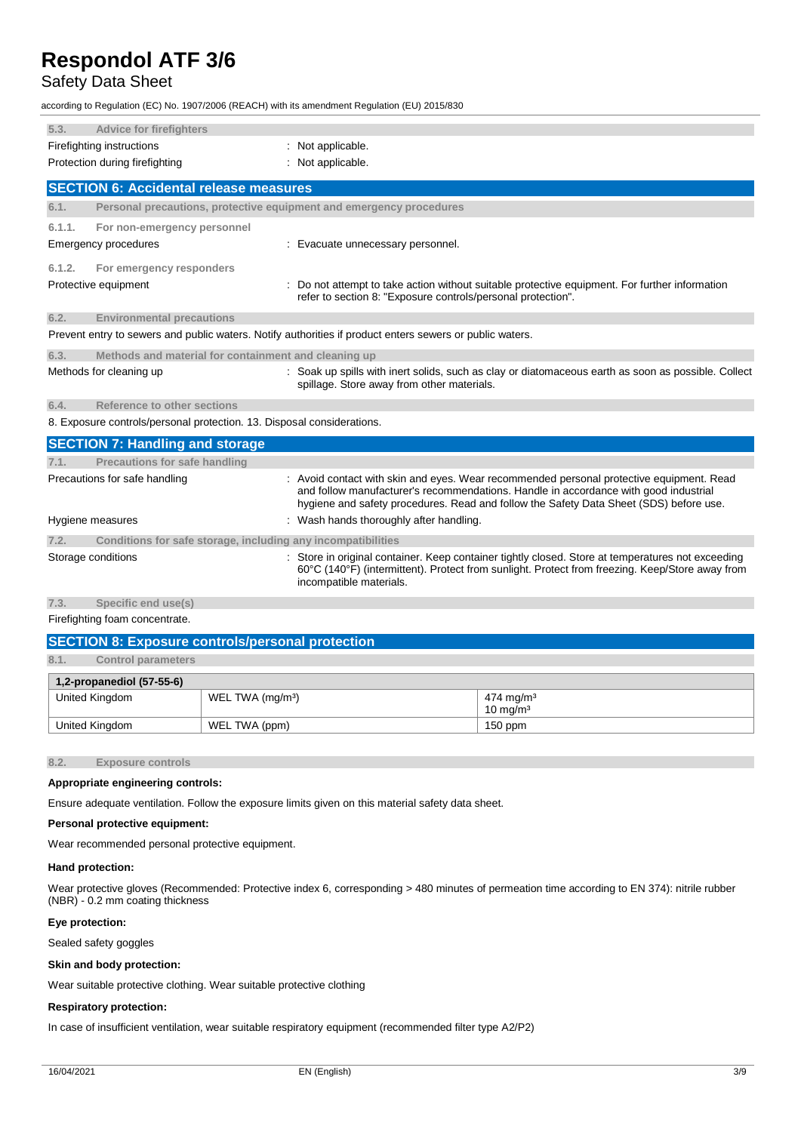### Safety Data Sheet

according to Regulation (EC) No. 1907/2006 (REACH) with its amendment Regulation (EU) 2015/830

| 5.3.                      | <b>Advice for firefighters</b>                                         |                                                                                                                                                                                                                                                                          |
|---------------------------|------------------------------------------------------------------------|--------------------------------------------------------------------------------------------------------------------------------------------------------------------------------------------------------------------------------------------------------------------------|
| Firefighting instructions |                                                                        | Not applicable.                                                                                                                                                                                                                                                          |
|                           | Protection during firefighting                                         | Not applicable.                                                                                                                                                                                                                                                          |
|                           | <b>SECTION 6: Accidental release measures</b>                          |                                                                                                                                                                                                                                                                          |
| 6.1.                      |                                                                        | Personal precautions, protective equipment and emergency procedures                                                                                                                                                                                                      |
| 6.1.1.                    | For non-emergency personnel                                            |                                                                                                                                                                                                                                                                          |
|                           | Emergency procedures                                                   | Evacuate unnecessary personnel.                                                                                                                                                                                                                                          |
| 6.1.2.                    | For emergency responders                                               |                                                                                                                                                                                                                                                                          |
|                           | Protective equipment                                                   | Do not attempt to take action without suitable protective equipment. For further information<br>refer to section 8: "Exposure controls/personal protection".                                                                                                             |
| 6.2.                      | <b>Environmental precautions</b>                                       |                                                                                                                                                                                                                                                                          |
|                           |                                                                        | Prevent entry to sewers and public waters. Notify authorities if product enters sewers or public waters.                                                                                                                                                                 |
| 6.3.                      | Methods and material for containment and cleaning up                   |                                                                                                                                                                                                                                                                          |
|                           | Methods for cleaning up                                                | Soak up spills with inert solids, such as clay or diatomaceous earth as soon as possible. Collect<br>spillage. Store away from other materials.                                                                                                                          |
| 6.4.                      | Reference to other sections                                            |                                                                                                                                                                                                                                                                          |
|                           | 8. Exposure controls/personal protection. 13. Disposal considerations. |                                                                                                                                                                                                                                                                          |
|                           | <b>SECTION 7: Handling and storage</b>                                 |                                                                                                                                                                                                                                                                          |
| 7.1.                      | Precautions for safe handling                                          |                                                                                                                                                                                                                                                                          |
|                           | Precautions for safe handling                                          | Avoid contact with skin and eyes. Wear recommended personal protective equipment. Read<br>and follow manufacturer's recommendations. Handle in accordance with good industrial<br>hygiene and safety procedures. Read and follow the Safety Data Sheet (SDS) before use. |
|                           | Hygiene measures                                                       | : Wash hands thoroughly after handling.                                                                                                                                                                                                                                  |
| 7.2.                      | Conditions for safe storage, including any incompatibilities           |                                                                                                                                                                                                                                                                          |
|                           | Storage conditions                                                     | Store in original container. Keep container tightly closed. Store at temperatures not exceeding<br>60°C (140°F) (intermittent). Protect from sunlight. Protect from freezing. Keep/Store away from<br>incompatible materials.                                            |
| 7.3.                      | Specific end use(s)                                                    |                                                                                                                                                                                                                                                                          |

Firefighting foam concentrate.

| <b>SECTION 8: Exposure controls/personal protection</b>                 |               |           |  |  |
|-------------------------------------------------------------------------|---------------|-----------|--|--|
| 8.1.<br><b>Control parameters</b>                                       |               |           |  |  |
| $1,2$ -propanediol (57-55-6)                                            |               |           |  |  |
| United Kingdom<br>WEL TWA (mg/m <sup>3</sup> )<br>474 mg/m <sup>3</sup> |               |           |  |  |
| $10 \text{ ma/m}^3$                                                     |               |           |  |  |
| United Kingdom                                                          | WEL TWA (ppm) | $150$ ppm |  |  |

**8.2. Exposure controls**

### **Appropriate engineering controls:**

Ensure adequate ventilation. Follow the exposure limits given on this material safety data sheet.

### **Personal protective equipment:**

Wear recommended personal protective equipment.

#### **Hand protection:**

Wear protective gloves (Recommended: Protective index 6, corresponding > 480 minutes of permeation time according to EN 374): nitrile rubber (NBR) - 0.2 mm coating thickness

#### **Eye protection:**

Sealed safety goggles

### **Skin and body protection:**

Wear suitable protective clothing. Wear suitable protective clothing

### **Respiratory protection:**

In case of insufficient ventilation, wear suitable respiratory equipment (recommended filter type A2/P2)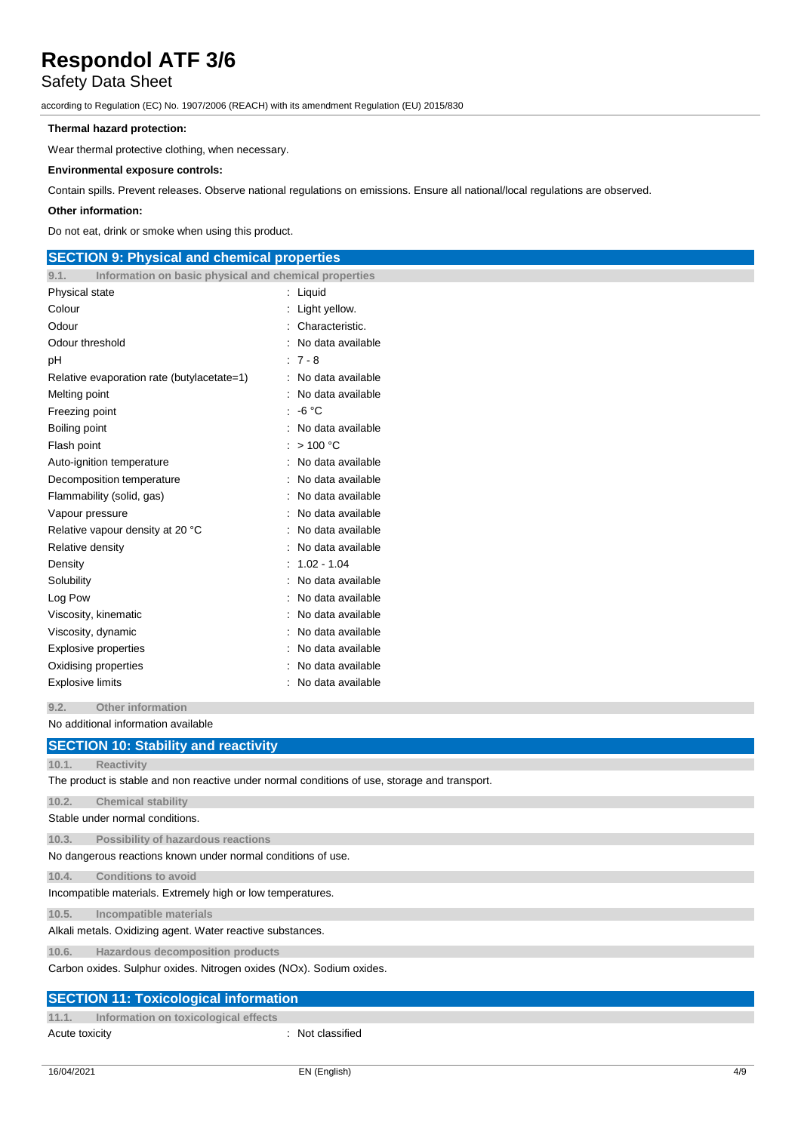### Safety Data Sheet

according to Regulation (EC) No. 1907/2006 (REACH) with its amendment Regulation (EU) 2015/830

### **Thermal hazard protection:**

Wear thermal protective clothing, when necessary.

### **Environmental exposure controls:**

Contain spills. Prevent releases. Observe national regulations on emissions. Ensure all national/local regulations are observed.

### **Other information:**

Do not eat, drink or smoke when using this product.

### **SECTION 9: Physical and chemical properties 9.1. Information on basic physical and chemical properties** Physical state in the state in the state of the state in the state in the state in the state in the state in the state in the state in the state in the state in the state in the state in the state in the state in the state Colour : Light yellow. Odour : Characteristic. Odour threshold **in the contract of the contract of the contract of the contract of the contract of the contract of the contract of the contract of the contract of the contract of the contract of the contract of the contra** pH : 7 - 8 Relative evaporation rate (butylacetate=1) : No data available Melting point **in the case of the case of the case of the case of the case of the case of the case of the case of the case of the case of the case of the case of the case of the case of the case of the case of the case of** Freezing point : -6 °C Boiling point **in the case of the case of the case of the case of the case of the case of the case of the case of the case of the case of the case of the case of the case of the case of the case of the case of the case of** Flash point : > 100 °C Auto-ignition temperature **interest and the Contract Contract Auto-** : No data available Decomposition temperature : No data available Flammability (solid, gas) : No data available Vapour pressure in the settlement of the settlement of the No data available Relative vapour density at 20 °C : No data available Relative density **in the case of the COV** Relative density **in the case of the COV** Relative density Density : 1.02 - 1.04 Solubility : No data available : No data available Log Pow **: No data available** Viscosity, kinematic intervals of the state of the No data available Viscosity, dynamic **intervalse in the Contract of Contract Available** : No data available Explosive properties **in the set of the set of the S** and S in No data available Oxidising properties **in the contract of the Contract August** 2012 : No data available Explosive limits **Explosive Limits Explosive Limits Explosive Limits Explosive Limits EXPLOSIVE 2019**

**9.2. Other information**

No additional information available

|       | <b>SECTION 10: Stability and reactivity</b>                                                   |
|-------|-----------------------------------------------------------------------------------------------|
| 10.1. | <b>Reactivity</b>                                                                             |
|       | The product is stable and non reactive under normal conditions of use, storage and transport. |
| 10.2. | <b>Chemical stability</b>                                                                     |
|       | Stable under normal conditions.                                                               |
| 10.3. | Possibility of hazardous reactions                                                            |
|       | No dangerous reactions known under normal conditions of use.                                  |
| 10.4. | <b>Conditions to avoid</b>                                                                    |
|       | Incompatible materials. Extremely high or low temperatures.                                   |
| 10.5. | Incompatible materials                                                                        |
|       | Alkali metals. Oxidizing agent. Water reactive substances.                                    |
| 10.6. | Hazardous decomposition products                                                              |
|       | Carbon oxides. Sulphur oxides. Nitrogen oxides (NOx). Sodium oxides.                          |
|       | <b>SECTION 11: Toxicological information</b>                                                  |
| 11.1. | Information on toxicological effects                                                          |

Acute toxicity in the contract of the contract of the contract of the contract of the contract of the contract of the contract of the contract of the contract of the contract of the contract of the contract of the contract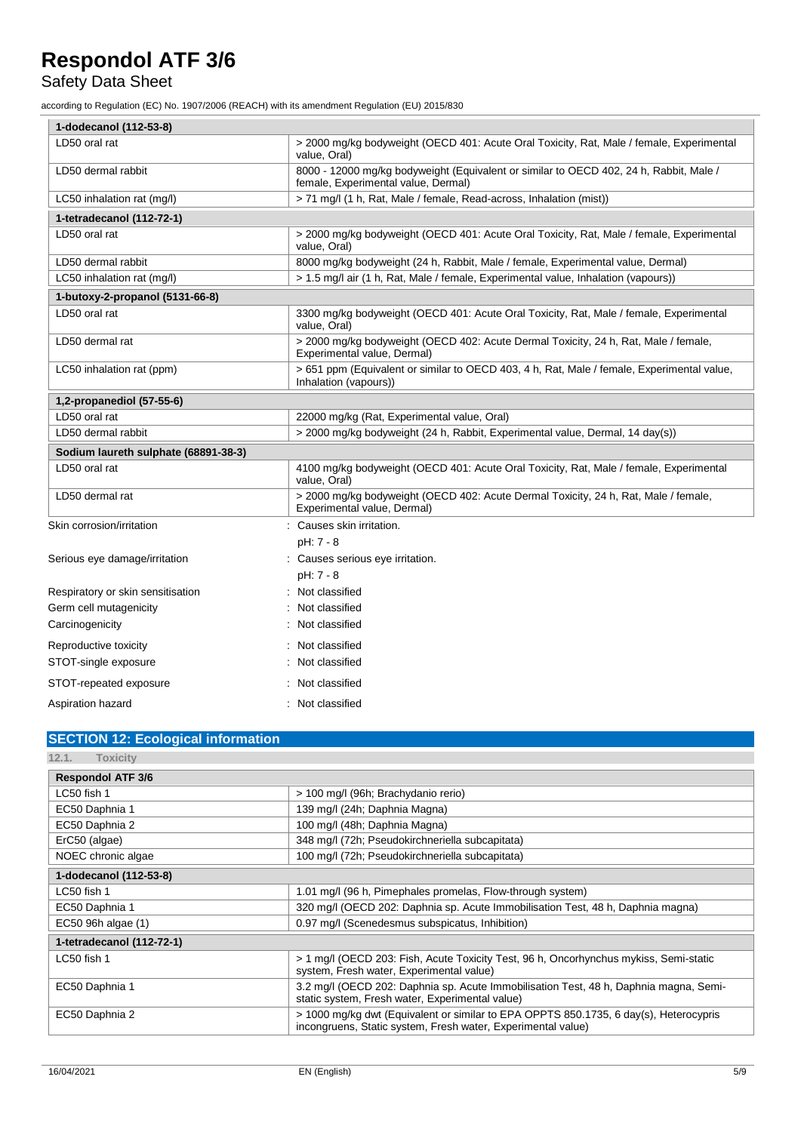# Safety Data Sheet

according to Regulation (EC) No. 1907/2006 (REACH) with its amendment Regulation (EU) 2015/830

| 1-dodecanol (112-53-8)               |                                                                                                                               |  |  |
|--------------------------------------|-------------------------------------------------------------------------------------------------------------------------------|--|--|
| LD50 oral rat                        | > 2000 mg/kg bodyweight (OECD 401: Acute Oral Toxicity, Rat, Male / female, Experimental<br>value, Oral)                      |  |  |
| LD50 dermal rabbit                   | 8000 - 12000 mg/kg bodyweight (Equivalent or similar to OECD 402, 24 h, Rabbit, Male /<br>female, Experimental value, Dermal) |  |  |
| LC50 inhalation rat (mg/l)           | > 71 mg/l (1 h, Rat, Male / female, Read-across, Inhalation (mist))                                                           |  |  |
| 1-tetradecanol (112-72-1)            |                                                                                                                               |  |  |
| LD50 oral rat                        | > 2000 mg/kg bodyweight (OECD 401: Acute Oral Toxicity, Rat, Male / female, Experimental<br>value, Oral)                      |  |  |
| LD50 dermal rabbit                   | 8000 mg/kg bodyweight (24 h, Rabbit, Male / female, Experimental value, Dermal)                                               |  |  |
| LC50 inhalation rat (mg/l)           | > 1.5 mg/l air (1 h, Rat, Male / female, Experimental value, Inhalation (vapours))                                            |  |  |
| 1-butoxy-2-propanol (5131-66-8)      |                                                                                                                               |  |  |
| LD50 oral rat                        | 3300 mg/kg bodyweight (OECD 401: Acute Oral Toxicity, Rat, Male / female, Experimental<br>value, Oral)                        |  |  |
| LD50 dermal rat                      | > 2000 mg/kg bodyweight (OECD 402: Acute Dermal Toxicity, 24 h, Rat, Male / female,<br>Experimental value, Dermal)            |  |  |
| LC50 inhalation rat (ppm)            | > 651 ppm (Equivalent or similar to OECD 403, 4 h, Rat, Male / female, Experimental value,<br>Inhalation (vapours))           |  |  |
| 1,2-propanediol (57-55-6)            |                                                                                                                               |  |  |
| LD50 oral rat                        | 22000 mg/kg (Rat, Experimental value, Oral)                                                                                   |  |  |
| LD50 dermal rabbit                   | > 2000 mg/kg bodyweight (24 h, Rabbit, Experimental value, Dermal, 14 day(s))                                                 |  |  |
| Sodium laureth sulphate (68891-38-3) |                                                                                                                               |  |  |
| LD50 oral rat                        | 4100 mg/kg bodyweight (OECD 401: Acute Oral Toxicity, Rat, Male / female, Experimental<br>value, Oral)                        |  |  |
| LD50 dermal rat                      | > 2000 mg/kg bodyweight (OECD 402: Acute Dermal Toxicity, 24 h, Rat, Male / female,<br>Experimental value, Dermal)            |  |  |
| Skin corrosion/irritation            | : Causes skin irritation.                                                                                                     |  |  |
|                                      | pH: 7 - 8                                                                                                                     |  |  |
| Serious eye damage/irritation        | : Causes serious eye irritation.                                                                                              |  |  |
|                                      | pH: 7 - 8                                                                                                                     |  |  |
| Respiratory or skin sensitisation    | Not classified                                                                                                                |  |  |
| Germ cell mutagenicity               | Not classified                                                                                                                |  |  |
| Carcinogenicity                      | Not classified                                                                                                                |  |  |
| Reproductive toxicity                | Not classified                                                                                                                |  |  |
| STOT-single exposure                 | Not classified                                                                                                                |  |  |
| STOT-repeated exposure               | Not classified                                                                                                                |  |  |
| Aspiration hazard                    | : Not classified                                                                                                              |  |  |

# **SECTION 12: Ecological information**

| 12.1.<br>Toxicity         |                                                                                                                                                       |
|---------------------------|-------------------------------------------------------------------------------------------------------------------------------------------------------|
| <b>Respondol ATF 3/6</b>  |                                                                                                                                                       |
| LC50 fish 1               | > 100 mg/l (96h; Brachydanio rerio)                                                                                                                   |
| EC50 Daphnia 1            | 139 mg/l (24h; Daphnia Magna)                                                                                                                         |
| EC50 Daphnia 2            | 100 mg/l (48h; Daphnia Magna)                                                                                                                         |
| ErC50 (algae)             | 348 mg/l (72h; Pseudokirchneriella subcapitata)                                                                                                       |
| NOEC chronic algae        | 100 mg/l (72h; Pseudokirchneriella subcapitata)                                                                                                       |
| 1-dodecanol (112-53-8)    |                                                                                                                                                       |
| LC50 fish 1               | 1.01 mg/l (96 h, Pimephales promelas, Flow-through system)                                                                                            |
| EC50 Daphnia 1            | 320 mg/l (OECD 202: Daphnia sp. Acute Immobilisation Test, 48 h, Daphnia magna)                                                                       |
| EC50 96h algae (1)        | 0.97 mg/l (Scenedesmus subspicatus, Inhibition)                                                                                                       |
| 1-tetradecanol (112-72-1) |                                                                                                                                                       |
| $LC50$ fish 1             | > 1 mg/l (OECD 203: Fish, Acute Toxicity Test, 96 h, Oncorhynchus mykiss, Semi-static<br>system, Fresh water, Experimental value)                     |
| EC50 Daphnia 1            | 3.2 mg/l (OECD 202: Daphnia sp. Acute Immobilisation Test, 48 h, Daphnia magna, Semi-<br>static system, Fresh water, Experimental value)              |
| EC50 Daphnia 2            | > 1000 mg/kg dwt (Equivalent or similar to EPA OPPTS 850.1735, 6 day(s), Heterocypris<br>incongruens, Static system, Fresh water, Experimental value) |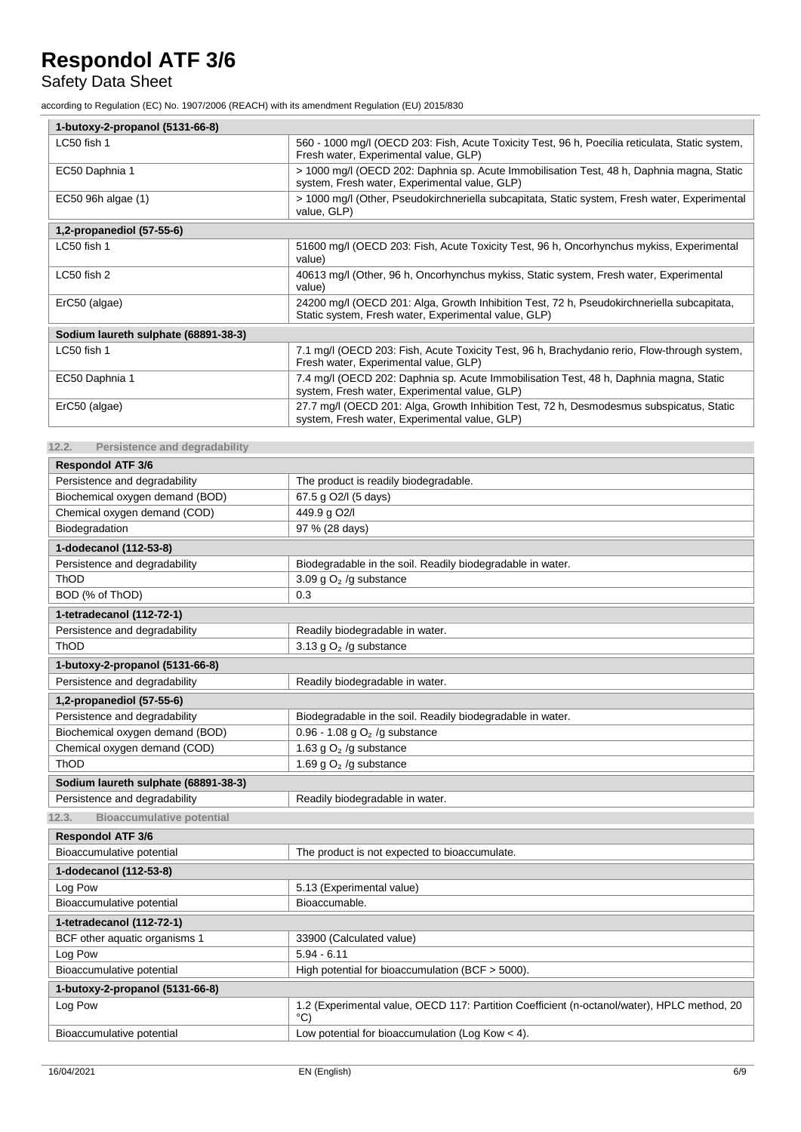# Safety Data Sheet

according to Regulation (EC) No. 1907/2006 (REACH) with its amendment Regulation (EU) 2015/830

| 1-butoxy-2-propanol (5131-66-8)      |                                                                                                                                                    |  |
|--------------------------------------|----------------------------------------------------------------------------------------------------------------------------------------------------|--|
| LC50 fish 1                          | 560 - 1000 mg/l (OECD 203: Fish, Acute Toxicity Test, 96 h, Poecilia reticulata, Static system,<br>Fresh water, Experimental value, GLP)           |  |
| EC50 Daphnia 1                       | > 1000 mg/l (OECD 202: Daphnia sp. Acute Immobilisation Test, 48 h, Daphnia magna, Static<br>system, Fresh water, Experimental value, GLP)         |  |
| EC50 96h algae (1)                   | > 1000 mg/l (Other, Pseudokirchneriella subcapitata, Static system, Fresh water, Experimental<br>value, GLP)                                       |  |
| 1,2-propanediol (57-55-6)            |                                                                                                                                                    |  |
| LC50 fish 1                          | 51600 mg/l (OECD 203: Fish, Acute Toxicity Test, 96 h, Oncorhynchus mykiss, Experimental<br>value)                                                 |  |
| LC50 fish 2                          | 40613 mg/l (Other, 96 h, Oncorhynchus mykiss, Static system, Fresh water, Experimental<br>value)                                                   |  |
| ErC50 (algae)                        | 24200 mg/l (OECD 201: Alga, Growth Inhibition Test, 72 h, Pseudokirchneriella subcapitata,<br>Static system, Fresh water, Experimental value, GLP) |  |
| Sodium laureth sulphate (68891-38-3) |                                                                                                                                                    |  |
| LC50 fish 1                          | 7.1 mg/l (OECD 203: Fish, Acute Toxicity Test, 96 h, Brachydanio rerio, Flow-through system,<br>Fresh water, Experimental value, GLP)              |  |
| EC50 Daphnia 1                       | 7.4 mg/l (OECD 202: Daphnia sp. Acute Immobilisation Test, 48 h, Daphnia magna, Static<br>system, Fresh water, Experimental value, GLP)            |  |
| ErC50 (algae)                        | 27.7 mg/l (OECD 201: Alga, Growth Inhibition Test, 72 h, Desmodesmus subspicatus, Static<br>system, Fresh water, Experimental value, GLP)          |  |

**12.2. Persistence and degradability**

| <b>Respondol ATF 3/6</b>                  |                                                                                                                |  |  |
|-------------------------------------------|----------------------------------------------------------------------------------------------------------------|--|--|
| Persistence and degradability             | The product is readily biodegradable.                                                                          |  |  |
| Biochemical oxygen demand (BOD)           | 67.5 g O2/I (5 days)                                                                                           |  |  |
| Chemical oxygen demand (COD)              | 449.9 g O2/l                                                                                                   |  |  |
| Biodegradation                            | 97 % (28 days)                                                                                                 |  |  |
| 1-dodecanol (112-53-8)                    |                                                                                                                |  |  |
| Persistence and degradability             | Biodegradable in the soil. Readily biodegradable in water.                                                     |  |  |
| ThOD                                      | 3.09 g $O2$ /g substance                                                                                       |  |  |
| BOD (% of ThOD)                           | 0.3                                                                                                            |  |  |
| 1-tetradecanol (112-72-1)                 |                                                                                                                |  |  |
| Persistence and degradability             | Readily biodegradable in water.                                                                                |  |  |
| ThOD                                      | 3.13 g $O2$ /g substance                                                                                       |  |  |
| 1-butoxy-2-propanol (5131-66-8)           |                                                                                                                |  |  |
| Persistence and degradability             | Readily biodegradable in water.                                                                                |  |  |
| 1,2-propanediol (57-55-6)                 |                                                                                                                |  |  |
| Persistence and degradability             | Biodegradable in the soil. Readily biodegradable in water.                                                     |  |  |
| Biochemical oxygen demand (BOD)           | 0.96 - 1.08 g $O2$ /g substance                                                                                |  |  |
| Chemical oxygen demand (COD)              | 1.63 g $O2$ /g substance                                                                                       |  |  |
| ThOD                                      | 1.69 g $O2$ /g substance                                                                                       |  |  |
| Sodium laureth sulphate (68891-38-3)      |                                                                                                                |  |  |
| Persistence and degradability             | Readily biodegradable in water.                                                                                |  |  |
| 12.3.<br><b>Bioaccumulative potential</b> |                                                                                                                |  |  |
| <b>Respondol ATF 3/6</b>                  |                                                                                                                |  |  |
| Bioaccumulative potential                 | The product is not expected to bioaccumulate.                                                                  |  |  |
| 1-dodecanol (112-53-8)                    |                                                                                                                |  |  |
| Log Pow                                   | 5.13 (Experimental value)                                                                                      |  |  |
| Bioaccumulative potential                 | Bioaccumable.                                                                                                  |  |  |
| 1-tetradecanol (112-72-1)                 |                                                                                                                |  |  |
| BCF other aquatic organisms 1             | 33900 (Calculated value)                                                                                       |  |  |
| Log Pow                                   | $5.94 - 6.11$                                                                                                  |  |  |
| Bioaccumulative potential                 | High potential for bioaccumulation (BCF > 5000).                                                               |  |  |
| 1-butoxy-2-propanol (5131-66-8)           |                                                                                                                |  |  |
| Log Pow                                   | 1.2 (Experimental value, OECD 117: Partition Coefficient (n-octanol/water), HPLC method, 20<br>$\rm ^{\circ}C$ |  |  |
| Bioaccumulative potential                 | Low potential for bioaccumulation (Log Kow $<$ 4).                                                             |  |  |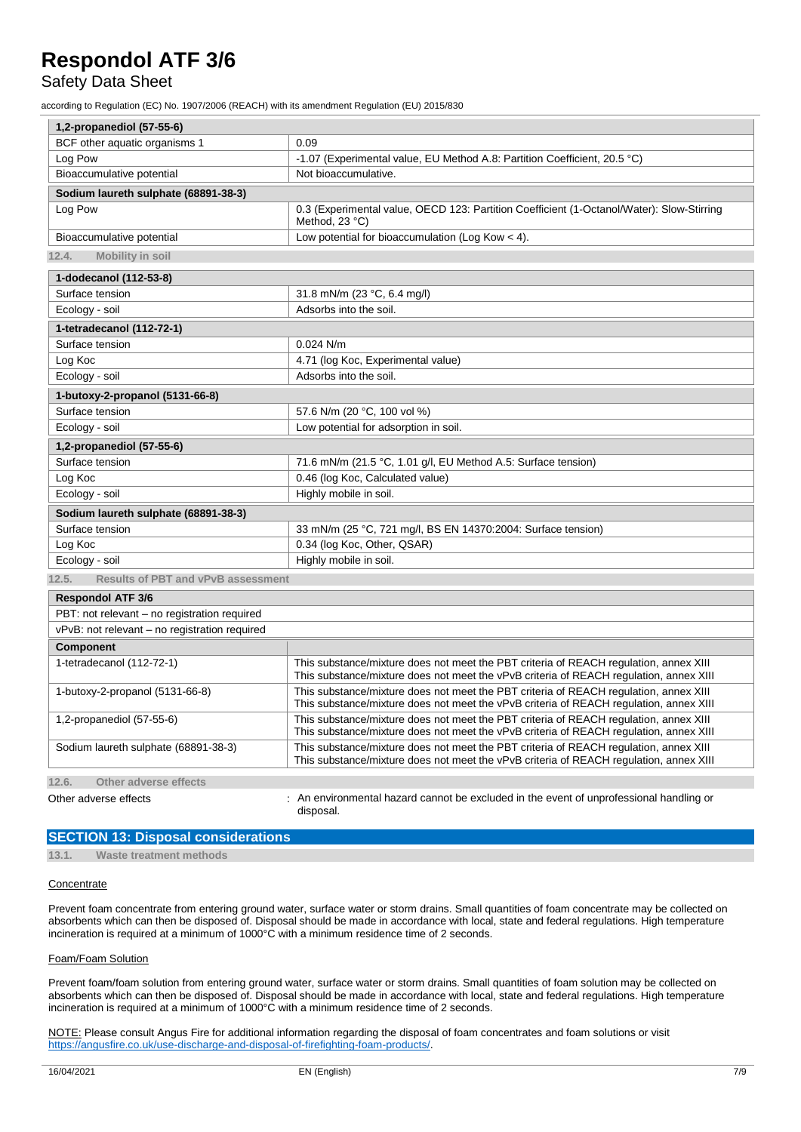### Safety Data Sheet

according to Regulation (EC) No. 1907/2006 (REACH) with its amendment Regulation (EU) 2015/830

| 1,2-propanediol (57-55-6)                          |                                                                                                                                                                                 |  |
|----------------------------------------------------|---------------------------------------------------------------------------------------------------------------------------------------------------------------------------------|--|
| BCF other aquatic organisms 1                      | 0.09                                                                                                                                                                            |  |
| Log Pow                                            | -1.07 (Experimental value, EU Method A.8: Partition Coefficient, 20.5 °C)                                                                                                       |  |
| Bioaccumulative potential                          | Not bioaccumulative.                                                                                                                                                            |  |
| Sodium laureth sulphate (68891-38-3)               |                                                                                                                                                                                 |  |
| Log Pow                                            | 0.3 (Experimental value, OECD 123: Partition Coefficient (1-Octanol/Water): Slow-Stirring<br>Method, 23 °C)                                                                     |  |
| Bioaccumulative potential                          | Low potential for bioaccumulation (Log Kow < 4).                                                                                                                                |  |
| 12.4.<br><b>Mobility in soil</b>                   |                                                                                                                                                                                 |  |
| 1-dodecanol (112-53-8)                             |                                                                                                                                                                                 |  |
| Surface tension                                    | 31.8 mN/m (23 °C, 6.4 mg/l)                                                                                                                                                     |  |
| Ecology - soil                                     | Adsorbs into the soil.                                                                                                                                                          |  |
| 1-tetradecanol (112-72-1)                          |                                                                                                                                                                                 |  |
| Surface tension                                    | $0.024$ N/m                                                                                                                                                                     |  |
| Log Koc                                            | 4.71 (log Koc, Experimental value)                                                                                                                                              |  |
| Ecology - soil                                     | Adsorbs into the soil.                                                                                                                                                          |  |
| 1-butoxy-2-propanol (5131-66-8)                    |                                                                                                                                                                                 |  |
| Surface tension                                    | 57.6 N/m (20 °C, 100 vol %)                                                                                                                                                     |  |
| Ecology - soil                                     | Low potential for adsorption in soil.                                                                                                                                           |  |
| 1,2-propanediol (57-55-6)                          |                                                                                                                                                                                 |  |
| Surface tension                                    | 71.6 mN/m (21.5 °C, 1.01 g/l, EU Method A.5: Surface tension)                                                                                                                   |  |
| Log Koc                                            | 0.46 (log Koc, Calculated value)                                                                                                                                                |  |
| Ecology - soil                                     | Highly mobile in soil.                                                                                                                                                          |  |
| Sodium laureth sulphate (68891-38-3)               |                                                                                                                                                                                 |  |
| Surface tension                                    | 33 mN/m (25 °C, 721 mg/l, BS EN 14370:2004: Surface tension)                                                                                                                    |  |
| Log Koc                                            | 0.34 (log Koc, Other, QSAR)                                                                                                                                                     |  |
| Ecology - soil                                     | Highly mobile in soil.                                                                                                                                                          |  |
| 12.5.<br><b>Results of PBT and vPvB assessment</b> |                                                                                                                                                                                 |  |
| <b>Respondol ATF 3/6</b>                           |                                                                                                                                                                                 |  |
| PBT: not relevant - no registration required       |                                                                                                                                                                                 |  |
| vPvB: not relevant - no registration required      |                                                                                                                                                                                 |  |
| Component                                          |                                                                                                                                                                                 |  |
| 1-tetradecanol (112-72-1)                          | This substance/mixture does not meet the PBT criteria of REACH regulation, annex XIII<br>This substance/mixture does not meet the vPvB criteria of REACH regulation, annex XIII |  |
| 1-butoxy-2-propanol (5131-66-8)                    | This substance/mixture does not meet the PBT criteria of REACH regulation, annex XIII<br>This substance/mixture does not meet the vPvB criteria of REACH regulation, annex XIII |  |
| 1,2-propanediol (57-55-6)                          | This substance/mixture does not meet the PBT criteria of REACH regulation, annex XIII<br>This substance/mixture does not meet the vPvB criteria of REACH regulation, annex XIII |  |
| Sodium laureth sulphate (68891-38-3)               | This substance/mixture does not meet the PBT criteria of REACH regulation, annex XIII<br>This substance/mixture does not meet the vPvB criteria of REACH regulation, annex XIII |  |
| 12.6.<br>Other adverse effects                     |                                                                                                                                                                                 |  |
| Other adverse effects                              | : An environmental hazard cannot be excluded in the event of unprofessional handling or                                                                                         |  |
|                                                    | disposal.                                                                                                                                                                       |  |

### **SECTION 13: Disposal considerations**

**13.1. Waste treatment methods**

### **Concentrate**

Prevent foam concentrate from entering ground water, surface water or storm drains. Small quantities of foam concentrate may be collected on absorbents which can then be disposed of. Disposal should be made in accordance with local, state and federal regulations. High temperature incineration is required at a minimum of 1000°C with a minimum residence time of 2 seconds.

#### Foam/Foam Solution

Prevent foam/foam solution from entering ground water, surface water or storm drains. Small quantities of foam solution may be collected on absorbents which can then be disposed of. Disposal should be made in accordance with local, state and federal regulations. High temperature incineration is required at a minimum of 1000°C with a minimum residence time of 2 seconds.

NOTE: Please consult Angus Fire for additional information regarding the disposal of foam concentrates and foam solutions or visit [https://angusfire.co.uk/use-discharge-and-disposal-of-firefighting-foam-products/.](https://angusfire.co.uk/use-discharge-and-disposal-of-firefighting-foam-products/)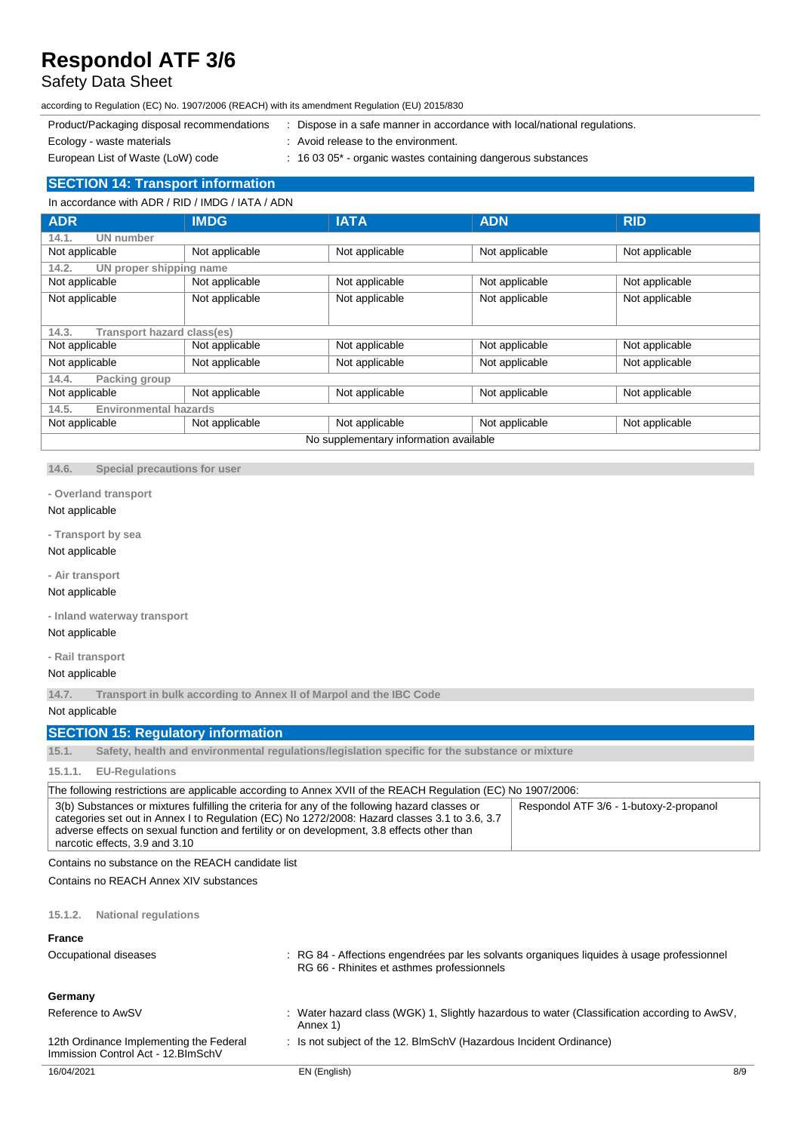### Safety Data Sheet

according to Regulation (EC) No. 1907/2006 (REACH) with its amendment Regulation (EU) 2015/830

- Product/Packaging disposal recommendations : Dispose in a safe manner in accordance with local/national regulations.
- 
- Ecology waste materials **Example 20** in Avoid release to the environment.
- European List of Waste (LoW) code : 16 03 05<sup>\*</sup> organic wastes containing dangerous substances
- 

### **SECTION 14: Transport information**

### In accordance with ADR / RID / IMDG / IATA / ADN

| <b>ADR</b>                             | <b>IMDG</b>    | <b>IATA</b>    | <b>ADN</b>     | <b>RID</b>     |
|----------------------------------------|----------------|----------------|----------------|----------------|
| UN number<br>14.1.                     |                |                |                |                |
| Not applicable                         | Not applicable | Not applicable | Not applicable | Not applicable |
| UN proper shipping name<br>14.2.       |                |                |                |                |
| Not applicable                         | Not applicable | Not applicable | Not applicable | Not applicable |
| Not applicable                         | Not applicable | Not applicable | Not applicable | Not applicable |
| Transport hazard class(es)<br>14.3.    |                |                |                |                |
| Not applicable                         | Not applicable | Not applicable | Not applicable | Not applicable |
| Not applicable                         | Not applicable | Not applicable | Not applicable | Not applicable |
| 14.4.<br>Packing group                 |                |                |                |                |
| Not applicable                         | Not applicable | Not applicable | Not applicable | Not applicable |
| <b>Environmental hazards</b><br>14.5.  |                |                |                |                |
| Not applicable                         | Not applicable | Not applicable | Not applicable | Not applicable |
| No supplementary information available |                |                |                |                |

**14.6. Special precautions for user**

### **- Overland transport**

### Not applicable

**- Transport by sea**

### Not applicable

**- Air transport**

### Not applicable

**- Inland waterway transport**

### Not applicable

**- Rail transport**

### Not applicable

**14.7. Transport in bulk according to Annex II of Marpol and the IBC Code**

Not applicable

### **SECTION 15: Regulatory information**

**15.1. Safety, health and environmental regulations/legislation specific for the substance or mixture**

### **15.1.1. EU-Regulations**

| The following restrictions are applicable according to Annex XVII of the REACH Regulation (EC) No 1907/2006:                                                                                                                                                                                                                    |                                         |  |
|---------------------------------------------------------------------------------------------------------------------------------------------------------------------------------------------------------------------------------------------------------------------------------------------------------------------------------|-----------------------------------------|--|
| 3(b) Substances or mixtures fulfilling the criteria for any of the following hazard classes or<br>categories set out in Annex I to Regulation (EC) No 1272/2008: Hazard classes 3.1 to 3.6, 3.7<br>adverse effects on sexual function and fertility or on development, 3.8 effects other than<br>narcotic effects, 3.9 and 3.10 | Respondol ATF 3/6 - 1-butoxy-2-propanol |  |

Contains no substance on the REACH candidate list

Contains no REACH Annex XIV substances

### **15.1.2. National regulations**

| <b>France</b><br>Occupational diseases                                         | : RG 84 - Affections engendrées par les solvants organiques liquides à usage professionnel<br>RG 66 - Rhinites et asthmes professionnels |     |
|--------------------------------------------------------------------------------|------------------------------------------------------------------------------------------------------------------------------------------|-----|
| Germany                                                                        |                                                                                                                                          |     |
| Reference to AwSV                                                              | : Water hazard class (WGK) 1, Slightly hazardous to water (Classification according to AwSV,<br>Annex 1)                                 |     |
| 12th Ordinance Implementing the Federal<br>Immission Control Act - 12. BlmSchV | : Is not subject of the 12. BlmSchV (Hazardous Incident Ordinance)                                                                       |     |
| 16/04/2021                                                                     | EN (English)                                                                                                                             | 8/9 |